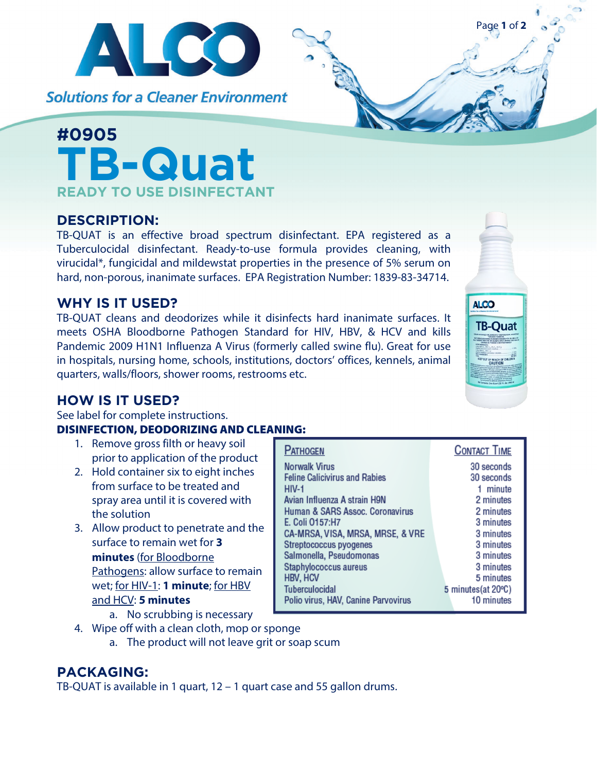

**Solutions for a Cleaner Environment** 

# **#0905 TB-Quat READY TO USE DISINFECTANT**

# **DESCRIPTION:**

TB-QUAT is an effective broad spectrum disinfectant. EPA registered as a Tuberculocidal disinfectant. Ready-to-use formula provides cleaning, with virucidal\*, fungicidal and mildewstat properties in the presence of 5% serum on hard, non-porous, inanimate surfaces. EPA Registration Number: 1839-83-34714.

## **WHY IS IT USED?**

TB-QUAT cleans and deodorizes while it disinfects hard inanimate surfaces. It meets OSHA Bloodborne Pathogen Standard for HIV, HBV, & HCV and kills Pandemic 2009 H1N1 Influenza A Virus (formerly called swine flu). Great for use in hospitals, nursing home, schools, institutions, doctors' offices, kennels, animal quarters, walls/floors, shower rooms, restrooms etc.

# **HOW IS IT USED?**

See label for complete instructions.

#### DISINFECTION, DEODORIZING AND CLEANING:

- 1. Remove gross filth or heavy soil prior to application of the product
- 2. Hold container six to eight inches from surface to be treated and spray area until it is covered with the solution
- 3. Allow product to penetrate and the surface to remain wet for **3 minutes** (for Bloodborne Pathogens: allow surface to remain wet; for HIV-1: **1 minute**; for HBV and HCV: **5 minutes**
	- a. No scrubbing is necessary
- 4. Wipe off with a clean cloth, mop or sponge
	- a. The product will not leave grit or soap scum

### **PACKAGING:**

TB-QUAT is available in 1 quart, 12 – 1 quart case and 55 gallon drums.





Page **1** of **2**